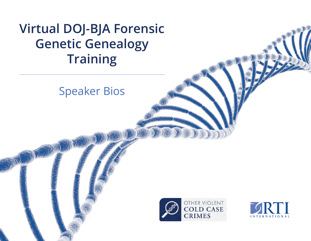# **Virtual DOJ-BJA Forensic Genetic Genealogy Training**

# Speaker Bios



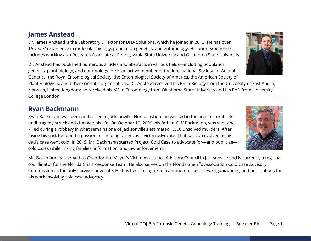#### **James Anstead**

Dr. James Anstead is the Laboratory Director for DNA Solutions, which he joined in 2013. He has over 15 years' experience in molecular biology, population genetics, and entomology. His prior experience includes working as a Research Associate at Pennsylvania State University and Oklahoma State University.

Dr. Anstead has published numerous articles and abstracts in various fields—including population genetics, plant biology, and entomology. He is an active member of the International Society for Animal Genetics, the Royal Entomological Society, the Entomological Society of America, the American Society of

Plant Biologists, and other scientific organizations. Dr. Anstead received his BS in Biology from the University of East Anglia, Norwich, United Kingdom; he received his MS in Entomology from Oklahoma State University and his PhD from University College London.

#### **Ryan Backmann**

Ryan Backmann was born and raised in Jacksonville, Florida, where he worked in the architectural field until tragedy struck and changed his life. On October 10, 2009, his father, Cliff Backmann, was shot and killed during a robbery in what remains one of Jacksonville's estimated 1,500 unsolved murders. After losing his dad, he found a passion for helping others as a victim advocate. That passion evolved as his dad's case went cold. In 2015, Mr. Backmann started Project: Cold Case to advocate for—and publicize cold cases while linking families, information, and law enforcement.

Mr. Backmann has served as Chair for the Mayor's Victim Assistance Advisory Council in Jacksonville and is currently a regional coordinator for the Florida Crisis Response Team. He also serves on the Florida Sheriffs Association Cold Case Advisory Commission as the only survivor advocate. He has been recognized by numerous agencies, organizations, and publications for his work involving cold case advocacy.



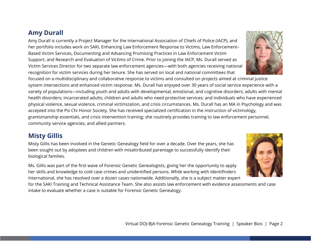#### **Amy Durall**

Amy Durall is currently a Project Manager for the International Association of Chiefs of Police (IACP), and her portfolio includes work on SAKI, Enhancing Law Enforcement Response to Victims, Law Enforcement– Based Victim Services, Documenting and Advancing Promising Practices in Law Enforcement Victim Support, and Research and Evaluation of Victims of Crime. Prior to joining the IACP, Ms. Durall served as Victim Services Director for two separate law enforcement agencies—with both agencies receiving national recognition for victim services during her tenure. She has served on local and national committees that

focused on a multidisciplinary and collaborative response to victims and consulted on projects aimed at criminal justice system intersections and enhanced victim response. Ms. Durall has enjoyed over 30 years of social service experience with a variety of populations—including youth and adults with developmental, emotional, and cognitive disorders; adults with mental health disorders; incarcerated adults; children and adults who need protective services; and individuals who have experienced physical violence, sexual violence, criminal victimization, and crisis circumstances. Ms. Durall has an MA in Psychology and was accepted into the Psi Chi Honor Society. She has received specialized certification in the instruction of victimology, grantsmanship essentials, and crisis intervention training; she routinely provides training to law enforcement personnel, community service agencies, and allied partners.

# **Misty Gillis**

Misty Gillis has been involved in the Genetic Genealogy field for over a decade. Over the years, she has been sought out by adoptees and children with misattributed parentage to successfully identify their biological families.

Ms. Gillis was part of the first wave of Forensic Genetic Genealogists, giving her the opportunity to apply her skills and knowledge to cold case crimes and unidentified persons. While working with Identifinders International, she has resolved over a dozen cases nationwide. Additionally, she is a subject matter expert

for the SAKI Training and Technical Assistance Team. She also assists law enforcement with evidence assessments and case intake to evaluate whether a case is suitable for Forensic Genetic Genealogy.



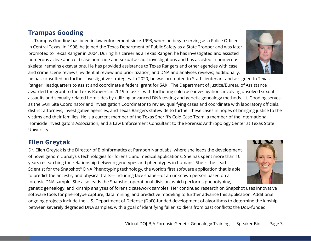# **Trampas Gooding**

Lt. Trampas Gooding has been in law enforcement since 1993, when he began serving as a Police Officer in Central Texas. In 1998, he joined the Texas Department of Public Safety as a State Trooper and was later promoted to Texas Ranger in 2004. During his career as a Texas Ranger, he has investigated and assisted numerous active and cold case homicide and sexual assault investigations and has assisted in numerous skeletal remains excavations. He has provided assistance to Texas Rangers and other agencies with case and crime scene reviews, evidential review and prioritization, and DNA and analyses reviews; additionally,

he has consulted on further investigative strategies. In 2020, he was promoted to Staff Lieutenant and assigned to Texas Ranger Headquarters to assist and coordinate a federal grant for SAKI. The Department of Justice/Bureau of Assistance awarded the grant to the Texas Rangers in 2019 to assist with furthering cold case investigations involving unsolved sexual assaults and sexually related homicides by utilizing advanced DNA testing and genetic genealogy methods. Lt. Gooding serves as the SAKI Site Coordinator and Investigation Coordinator to review qualifying cases and coordinate with laboratory officials, district attorneys, investigative agencies, and Texas Rangers statewide to further these cases in hopes of bringing justice to the victims and their families. He is a current member of the Texas Sheriff's Cold Case Team, a member of the International Homicide Investigators Association, and a Law Enforcement Consultant to the Forensic Anthropology Center at Texas State University.

# **Ellen Greytak**

Dr. Ellen Greytak is the Director of Bioinformatics at Parabon NanoLabs, where she leads the development of novel genomic analysis technologies for forensic and medical applications. She has spent more than 10 years researching the relationship between genotypes and phenotypes in humans. She is the Lead Scientist for the Snapshot® DNA Phenotyping technology, the world's first software application that is able to predict the ancestry and physical traits—including face shape—of an unknown person based on a forensic DNA sample. She also leads the Snapshot operational division, which performs phenotyping,

genetic genealogy, and kinship analyses of forensic casework samples. Her continued research on Snapshot uses innovative software tools for phenotype capture, data mining, and predictive modeling to further advance this application. Additional ongoing projects include the U.S. Department of Defense (DoD)-funded development of algorithms to determine the kinship between severely degraded DNA samples, with a goal of identifying fallen soldiers from past conflicts; the DoD-funded



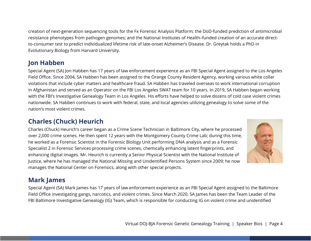creation of next-generation sequencing tools for the Fx Forensic Analysis Platform; the DoD-funded prediction of antimicrobial resistance phenotypes from pathogen genomes; and the National Institutes of Health–funded creation of an accurate directto-consumer test to predict individualized lifetime risk of late-onset Alzheimer's Disease. Dr. Greytak holds a PhD in Evolutionary Biology from Harvard University.

# **Jon Habben**

Special Agent (SA) Jon Habben has 17 years of law enforcement experience as an FBI Special Agent assigned to the Los Angeles Field Office. Since 2004, SA Habben has been assigned to the Orange County Resident Agency, working various white collar violations that include cyber matters and healthcare fraud. SA Habben has traveled overseas to work international corruption in Afghanistan and served as an Operator on the FBI Los Angeles SWAT team for 10 years. In 2019, SA Habben began working with the FBI's Investigative Genealogy Team in Los Angeles. His efforts have helped to solve dozens of cold case violent crimes nationwide. SA Habben continues to work with federal, state, and local agencies utilizing genealogy to solve some of the nation's most violent crimes.

# **Charles (Chuck) Heurich**

Charles (Chuck) Heurich's career began as a Crime Scene Technician in Baltimore City, where he processed over 2,000 crime scenes. He then spent 12 years with the Montgomery County Crime Lab; during this time, he worked as a Forensic Scientist in the Forensic Biology Unit performing DNA analysis and as a Forensic Specialist 2 in Forensic Services processing crime scenes, chemically enhancing latent fingerprints, and enhancing digital images. Mr. Heurich is currently a Senior Physical Scientist with the National Institute of Justice, where he has managed the National Missing and Unidentified Persons System since 2009; he now manages the National Center on Forensics, along with other special projects.



# **Mark James**

Special Agent (SA) Mark James has 17 years of law enforcement experience as an FBI Special Agent assigned to the Baltimore Field Office investigating gangs, narcotics, and violent crimes. Since March 2020, SA James has been the Team Leader of the FBI Baltimore Investigative Genealogy (IG) Team, which is responsible for conducting IG on violent crime and unidentified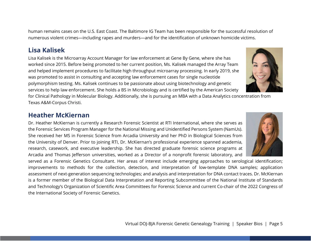human remains cases on the U.S. East Coast. The Baltimore IG Team has been responsible for the successful resolution of numerous violent crimes—including rapes and murders—and for the identification of unknown homicide victims.

# **Lisa Kalisek**

Lisa Kalisek is the Microarray Account Manager for law enforcement at Gene By Gene, where she has worked since 2015. Before being promoted to her current position, Ms. Kalisek managed the Array Team and helped implement procedures to facilitate high throughput microarray processing. In early 2019, she was promoted to assist in consulting and accepting law enforcement cases for single nucleotide polymorphism testing. Ms. Kalisek continues to be passionate about using biotechnology and genetic services to help law enforcement. She holds a BS in Microbiology and is certified by the American Society

for Clinical Pathology in Molecular Biology. Additionally, she is pursuing an MBA with a Data Analytics concentration from Texas A&M-Corpus Christi.

# **Heather McKiernan**

Dr. Heather McKiernan is currently a Research Forensic Scientist at RTI International, where she serves as the Forensic Services Program Manager for the National Missing and Unidentified Persons System (NamUs). She received her MS in Forensic Science from Arcadia University and her PhD in Biological Sciences from the University of Denver. Prior to joining RTI, Dr. McKiernan's professional experience spanned academia, research, casework, and executive leadership. She has directed graduate forensic science programs at Arcadia and Thomas Jefferson universities, worked as a Director of a nonprofit forensic laboratory, and

served as a Forensic Genetics Consultant. Her areas of interest include emerging approaches to serological identification; improvements to methods for the collection, detection, and interpretation of low-template DNA samples; application assessment of next-generation sequencing technologies; and analysis and interpretation for DNA contact traces. Dr. McKiernan is a former member of the Biological Data Interpretation and Reporting Subcommittee of the National Institute of Standards and Technology's Organization of Scientific Area Committees for Forensic Science and current Co-chair of the 2022 Congress of the International Society of Forensic Genetics.



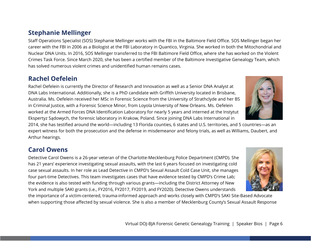# **Stephanie Mellinger**

Staff Operations Specialist (SOS) Stephanie Mellinger works with the FBI in the Baltimore Field Office. SOS Mellinger began her career with the FBI in 2006 as a Biologist at the FBI Laboratory in Quantico, Virginia. She worked in both the Mitochondrial and Nuclear DNA Units. In 2016, SOS Mellinger transferred to the FBI Baltimore Field Office, where she has worked on the Violent Crimes Task Force. Since March 2020, she has been a certified member of the Baltimore Investigative Genealogy Team, which has solved numerous violent crimes and unidentified human remains cases.

# **Rachel Oefelein**

Rachel Oefelein is currently the Director of Research and Innovation as well as a Senior DNA Analyst at DNA Labs International. Additionally, she is a PhD candidate with Griffith University located in Brisbane, Australia. Ms. Oefelein received her MSc in Forensic Science from the University of Strathclyde and her BS in Criminal Justice, with a Forensic Science Minor, from Loyola University of New Orleans. Ms. Oefelein worked at the Armed Forces DNA Identification Laboratory for nearly 5 years and interned at the Instytut Ekspertyz Sądowych, the forensic laboratory in Krakow, Poland. Since joining DNA Labs International in

2014, she has testified around the world—including 13 Florida counties, 6 states and U.S. territories, and 5 countries—as an expert witness for both the prosecution and the defense in misdemeanor and felony trials, as well as Williams, Daubert, and Arthur hearings.

# **Carol Owens**

Detective Carol Owens is a 26-year veteran of the Charlotte-Mecklenburg Police Department (CMPD). She has 21 years' experience investigating sexual assaults, with the last 6 years focused on investigating cold case sexual assaults. In her role as Lead Detective in CMPD's Sexual Assault Cold Case Unit, she manages four part-time Detectives. This team investigates cases that have evidence tested by CMPD's Crime Lab; the evidence is also tested with funding through various grants—including the District Attorney of New York and multiple SAKI grants (i.e., FY2016, FY2017, FY2019, and FY2020). Detective Owens understands

the importance of a victim-centered, trauma-informed approach and works closely with CMPD's SAKI Site-Based Advocate when supporting those affected by sexual violence. She is also a member of Mecklenburg County's Sexual Assault Response



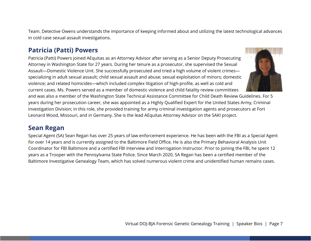Team. Detective Owens understands the importance of keeping informed about and utilizing the latest technological advances in cold case sexual assault investigations.

# **Patricia (Patti) Powers**

Patricia (Patti) Powers joined AEquitas as an Attorney Advisor after serving as a Senior Deputy Prosecuting Attorney in Washington State for 27 years. During her tenure as a prosecutor, she supervised the Sexual Assault—Domestic Violence Unit. She successfully prosecuted and tried a high volume of violent crimes specializing in adult sexual assault; child sexual assault and abuse; sexual exploitation of minors; domestic violence; and related homicides—which included complex litigation of high-profile, as well as cold and current cases. Ms. Powers served as a member of domestic violence and child fatality review committees



and was also a member of the Washington State Technical Assistance Committee for Child Death Review Guidelines. For 5 years during her prosecution career, she was appointed as a Highly Qualified Expert for the United States Army, Criminal Investigation Division; in this role, she provided training for army criminal investigation agents and prosecutors at Fort Leonard Wood, Missouri, and in Germany. She is the lead AEquitas Attorney Advisor on the SAKI project.

#### **Sean Regan**

Special Agent (SA) Sean Regan has over 25 years of law enforcement experience. He has been with the FBI as a Special Agent for over 14 years and is currently assigned to the Baltimore Field Office. He is also the Primary Behavioral Analysis Unit Coordinator for FBI Baltimore and a certified FBI Interview and Interrogation Instructor. Prior to joining the FBI, he spent 12 years as a Trooper with the Pennsylvania State Police. Since March 2020, SA Regan has been a certified member of the Baltimore Investigative Genealogy Team, which has solved numerous violent crime and unidentified human remains cases.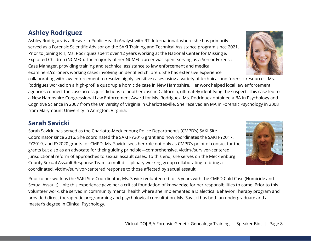#### **Ashley Rodriguez**

Ashley Rodriguez is a Research Public Health Analyst with RTI International, where she has primarily served as a Forensic Scientific Advisor on the SAKI Training and Technical Assistance program since 2021. Prior to joining RTI, Ms. Rodriquez spent over 12 years working at the National Center for Missing & Exploited Children (NCMEC). The majority of her NCMEC career was spent serving as a Senior Forensic Case Manager, providing training and technical assistance to law enforcement and medical examiners/coroners working cases involving unidentified children. She has extensive experience

collaborating with law enforcement to resolve highly sensitive cases using a variety of technical and forensic resources. Ms. Rodriguez worked on a high-profile quadruple homicide case in New Hampshire. Her work helped local law enforcement agencies connect the case across jurisdictions to another case in California, ultimately identifying the suspect. This case led to a New Hampshire Congressional Law Enforcement Award for Ms. Rodriguez. Ms. Rodriquez obtained a BA in Psychology and Cognitive Science in 2007 from the University of Virginia in Charlottesville. She received an MA in Forensic Psychology in 2008 from Marymount University in Arlington, Virginia.

# **Sarah Savicki**

Sarah Savicki has served as the Charlotte-Mecklenburg Police Department's (CMPD's) SAKI Site Coordinator since 2016. She coordinated the SAKI FY2016 grant and now coordinates the SAKI FY2017, FY2019, and FY2020 grants for CMPD. Ms. Savicki sees her role not only as CMPD's point of contact for the grants but also as an advocate for their guiding principle—comprehensive, victim-/survivor-centered jurisdictional reform of approaches to sexual assault cases. To this end, she serves on the Mecklenburg County Sexual Assault Response Team, a multidisciplinary working group collaborating to bring a coordinated, victim-/survivor-centered response to those affected by sexual assault.

Prior to her work as the SAKI Site Coordinator, Ms. Savicki volunteered for 5 years with the CMPD Cold Case (Homicide and Sexual Assault) Unit; this experience gave her a critical foundation of knowledge for her responsibilities to come. Prior to this volunteer work, she served in community mental health where she implemented a Dialectical Behavior Therapy program and provided direct therapeutic programming and psychological consultation. Ms. Savicki has both an undergraduate and a master's degree in Clinical Psychology.



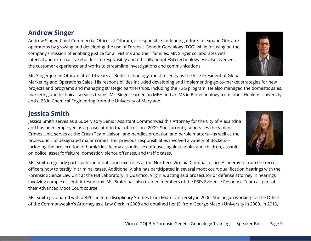#### **Andrew Singer**

Andrew Singer, Chief Commercial Officer at Othram, is responsible for leading efforts to expand Othram's operations by growing and developing the use of Forensic Genetic Genealogy (FGG) while focusing on the company's mission of enabling justice for all victims and their families. Mr. Singer collaborates with internal and external stakeholders to responsibly and ethically adopt FGG technology. He also oversees the customer experience and works to streamline investigations and communications.

Mr. Singer joined Othram after 14 years at Bode Technology, most recently as the Vice President of Global

Marketing and Operations Sales. His responsibilities included developing and implementing go-to-market strategies for new projects and programs and managing strategic partnerships, including the FGG program. He also managed the domestic sales, marketing and technical services teams. Mr. Singer earned an MBA and an MS in Biotechnology from Johns Hopkins University and a BS in Chemical Engineering from the University of Maryland.

#### **Jessica Smith**

Jessica Smith serves as a Supervisory Senior Assistant Commonwealth's Attorney for the City of Alexandria and has been employed as a prosecutor in that office since 2009. She currently supervises the Violent Crimes Unit, serves as the Crash Team Liaison, and handles probation and parole matters—as well as the prosecution of designated major crimes. Her previous responsibilities involved a variety of dockets including the prosecution of homicides, felony assaults, sex offenses against adults and children, assaults on police, asset forfeiture, domestic violence offenses, and traffic cases.

Ms. Smith regularly participates in moot court exercises at the Northern Virginia Criminal Justice Academy to train the recruit officers how to testify in criminal cases. Additionally, she has participated in several moot court qualification hearings with the Forensic Science Law Unit at the FBI Laboratory in Quantico, Virginia, acting as a prosecutor or defense attorney in hearings involving complex scientific testimony. Ms. Smith has also trained members of the FBI's Evidence Response Team as part of their Advanced Moot Court course.

Ms. Smith graduated with a BPhil in Interdisciplinary Studies from Miami University in 2006. She began working for the Office of the Commonwealth's Attorney as a Law Clerk in 2008 and obtained her JD from George Mason University in 2009. In 2019,



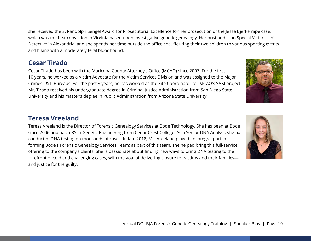she received the S. Randolph Sengel Award for Prosecutorial Excellence for her prosecution of the Jesse Bjerke rape case, which was the first conviction in Virginia based upon investigative genetic genealogy. Her husband is an Special Victims Unit Detective in Alexandria, and she spends her time outside the office chauffeuring their two children to various sporting events and hiking with a moderately feral bloodhound.

#### **Cesar Tirado**

Cesar Tirado has been with the Maricopa County Attorney's Office (MCAO) since 2007. For the first 10 years, he worked as a Victim Advocate for the Victim Services Division and was assigned to the Major Crimes I & II Bureaus. For the past 3 years, he has worked as the Site Coordinator for MCAO's SAKI project. Mr. Tirado received his undergraduate degree in Criminal Justice Administration from San Diego State University and his master's degree in Public Administration from Arizona State University.

#### **Teresa Vreeland**

Teresa Vreeland is the Director of Forensic Genealogy Services at Bode Technology. She has been at Bode since 2006 and has a BS in Genetic Engineering from Cedar Crest College. As a Senior DNA Analyst, she has conducted DNA testing on thousands of cases. In late 2018, Ms. Vreeland played an integral part in forming Bode's Forensic Genealogy Services Team; as part of this team, she helped bring this full-service offering to the company's clients. She is passionate about finding new ways to bring DNA testing to the forefront of cold and challenging cases, with the goal of delivering closure for victims and their families and justice for the guilty.



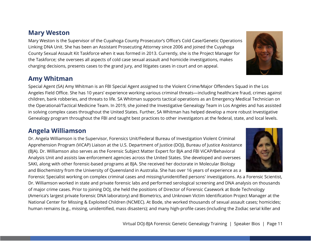#### **Mary Weston**

Mary Weston is the Supervisor of the Cuyahoga County Prosecutor's Office's Cold Case/Genetic Operations Linking DNA Unit. She has been an Assistant Prosecuting Attorney since 2006 and joined the Cuyahoga County Sexual Assault Kit Taskforce when it was formed in 2013. Currently, she is the Project Manager for the Taskforce; she oversees all aspects of cold case sexual assault and homicide investigations, makes charging decisions, presents cases to the grand jury, and litigates cases in court and on appeal.

#### **Amy Whitman**

Special Agent (SA) Amy Whitman is an FBI Special Agent assigned to the Violent Crime/Major Offenders Squad in the Los Angeles Field Office. She has 10 years' experience working various criminal threats—including healthcare fraud, crimes against children, bank robberies, and threats to life. SA Whitman supports tactical operations as an Emergency Medical Technician on the Operational/Tactical Medicine Team. In 2019, she joined the Investigative Genealogy Team in Los Angeles and has assisted in solving complex cases throughout the United States. Further, SA Whitman has helped develop a more robust Investigative Genealogy program throughout the FBI and taught best practices to other investigators at the federal, state, and local levels.

#### **Angela Williamson**

Dr. Angela Williamson is the Supervisor, Forensics Unit/Federal Bureau of Investigation Violent Criminal Apprehension Program (ViCAP) Liaison at the U.S. Department of Justice (DOJ), Bureau of Justice Assistance (BJA). Dr. Williamson also serves as the Forensic Subject Matter Expert for BJA and FBI ViCAP/Behavioral Analysis Unit and assists law enforcement agencies across the United States. She developed and oversees SAKI, along with other forensic-based programs at BJA. She received her doctorate in Molecular Biology and Biochemistry from the University of Queensland in Australia. She has over 16 years of experience as a

Forensic Specialist working on complex criminal cases and missing/unidentified persons' investigations. As a Forensic Scientist, Dr. Williamson worked in state and private forensic labs and performed serological screening and DNA analysis on thousands of major crime cases. Prior to joining DOJ, she held the positions of Director of Forensic Casework at Bode Technology (America's largest private forensic DNA laboratory) and Biometrics, and Unknown Victim Identification Project Manager at the National Center for Missing & Exploited Children (NCMEC). At Bode, she worked thousands of sexual assault cases; homicides; human remains (e.g., missing, unidentified, mass disasters); and many high-profile cases (including the Zodiac serial killer and